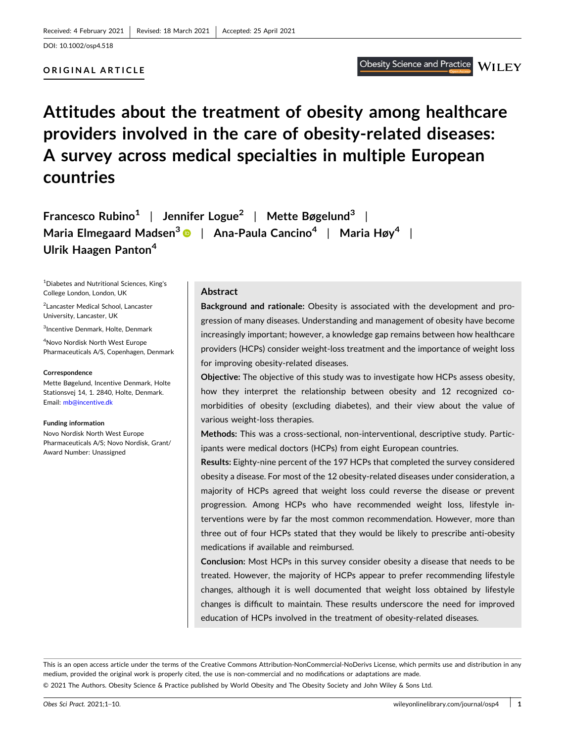# **ORIGINAL ARTICLE**

# **Attitudes about the treatment of obesity among healthcare providers involved in the care of obesity‐related diseases: A survey across medical specialties in multiple European countries**

**Francesco Rubino1** | **Jennifer Logue2** | **Mette Bøgelund3** | **Maria Elmegaard Madsen3** | **Ana‐Paula Cancino4** | **Maria Høy4** | **Ulrik Haagen Panton<sup>4</sup>**

1 Diabetes and Nutritional Sciences, King's College London, London, UK

2 Lancaster Medical School, Lancaster University, Lancaster, UK

3 Incentive Denmark, Holte, Denmark

4 Novo Nordisk North West Europe Pharmaceuticals A/S, Copenhagen, Denmark

#### **Correspondence**

Mette Bøgelund, Incentive Denmark, Holte Stationsvej 14, 1. 2840, Holte, Denmark. Email: [mb@incentive.dk](mailto:mb@incentive.dk)

#### **Funding information**

Novo Nordisk North West Europe Pharmaceuticals A/S; Novo Nordisk, Grant/ Award Number: Unassigned

### **Abstract**

**Background and rationale:** Obesity is associated with the development and progression of many diseases. Understanding and management of obesity have become increasingly important; however, a knowledge gap remains between how healthcare providers (HCPs) consider weight‐loss treatment and the importance of weight loss for improving obesity‐related diseases.

**Objective:** The objective of this study was to investigate how HCPs assess obesity, how they interpret the relationship between obesity and 12 recognized comorbidities of obesity (excluding diabetes), and their view about the value of various weight‐loss therapies.

**Methods:** This was a cross‐sectional, non‐interventional, descriptive study. Participants were medical doctors (HCPs) from eight European countries.

**Results:** Eighty‐nine percent of the 197 HCPs that completed the survey considered obesity a disease. For most of the 12 obesity‐related diseases under consideration, a majority of HCPs agreed that weight loss could reverse the disease or prevent progression. Among HCPs who have recommended weight loss, lifestyle interventions were by far the most common recommendation. However, more than three out of four HCPs stated that they would be likely to prescribe anti‐obesity medications if available and reimbursed.

**Conclusion:** Most HCPs in this survey consider obesity a disease that needs to be treated. However, the majority of HCPs appear to prefer recommending lifestyle changes, although it is well documented that weight loss obtained by lifestyle changes is difficult to maintain. These results underscore the need for improved education of HCPs involved in the treatment of obesity-related diseases.

This is an open access article under the terms of the Creative Commons Attribution-NonCommercial-NoDerivs License, which permits use and distribution in any medium, provided the original work is properly cited, the use is non‐commercial and no modifications or adaptations are made.

© 2021 The Authors. Obesity Science & Practice published by World Obesity and The Obesity Society and John Wiley & Sons Ltd.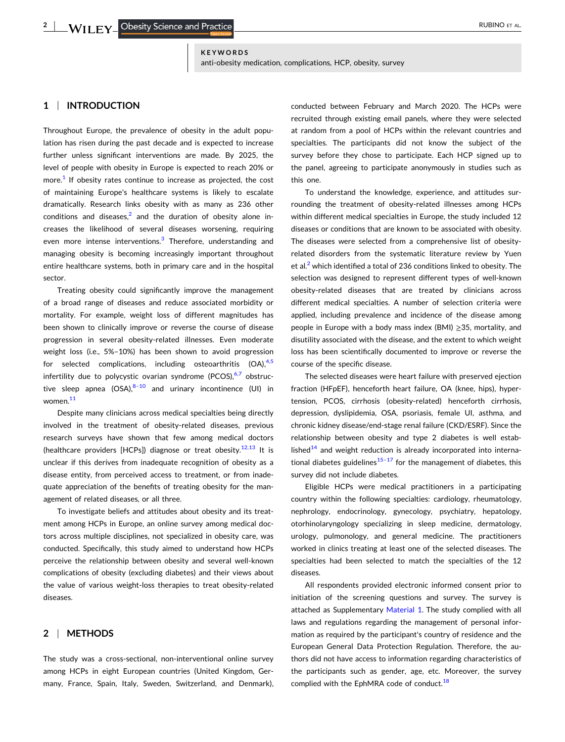#### **KEYWORDS** anti-obesity medication, complications, HCP, obesity, survey

# **1** <sup>|</sup> **INTRODUCTION**

Throughout Europe, the prevalence of obesity in the adult population has risen during the past decade and is expected to increase further unless significant interventions are made. By 2025, the level of people with obesity in Europe is expected to reach 20% or more. $<sup>1</sup>$  $<sup>1</sup>$  $<sup>1</sup>$  If obesity rates continue to increase as projected, the cost</sup> of maintaining Europe's healthcare systems is likely to escalate dramatically. Research links obesity with as many as 236 other conditions and diseases,<sup>[2](#page-8-0)</sup> and the duration of obesity alone increases the likelihood of several diseases worsening, requiring even more intense interventions.<sup>[3](#page-8-0)</sup> Therefore, understanding and managing obesity is becoming increasingly important throughout entire healthcare systems, both in primary care and in the hospital sector.

Treating obesity could significantly improve the management of a broad range of diseases and reduce associated morbidity or mortality. For example, weight loss of different magnitudes has been shown to clinically improve or reverse the course of disease progression in several obesity-related illnesses. Even moderate weight loss (i.e., 5%–10%) has been shown to avoid progression for selected complications, including osteoarthritis  $(OA)$ ,<sup>[4,5](#page-8-0)</sup> infertility due to polycystic ovarian syndrome (PCOS), $6,7$  obstructive sleep apnea  $(OSA)<sup>8-10</sup>$  and urinary incontinence (UI) in women.<sup>[11](#page-8-0)</sup>

Despite many clinicians across medical specialties being directly involved in the treatment of obesity-related diseases, previous research surveys have shown that few among medical doctors (healthcare providers [HCPs]) diagnose or treat obesity.<sup>12,13</sup> It is unclear if this derives from inadequate recognition of obesity as a disease entity, from perceived access to treatment, or from inadequate appreciation of the benefits of treating obesity for the management of related diseases, or all three.

To investigate beliefs and attitudes about obesity and its treatment among HCPs in Europe, an online survey among medical doctors across multiple disciplines, not specialized in obesity care, was conducted. Specifically, this study aimed to understand how HCPs perceive the relationship between obesity and several well‐known complications of obesity (excluding diabetes) and their views about the value of various weight‐loss therapies to treat obesity‐related diseases.

# **2** <sup>|</sup> **METHODS**

The study was a cross-sectional, non-interventional online survey among HCPs in eight European countries (United Kingdom, Germany, France, Spain, Italy, Sweden, Switzerland, and Denmark),

conducted between February and March 2020. The HCPs were recruited through existing email panels, where they were selected at random from a pool of HCPs within the relevant countries and specialties. The participants did not know the subject of the survey before they chose to participate. Each HCP signed up to the panel, agreeing to participate anonymously in studies such as this one.

To understand the knowledge, experience, and attitudes surrounding the treatment of obesity-related illnesses among HCPs within different medical specialties in Europe, the study included 12 diseases or conditions that are known to be associated with obesity. The diseases were selected from a comprehensive list of obesity‐ related disorders from the systematic literature review by Yuen et al. $<sup>2</sup>$  $<sup>2</sup>$  $<sup>2</sup>$  which identified a total of 236 conditions linked to obesity. The</sup> selection was designed to represent different types of well-known obesity‐related diseases that are treated by clinicians across different medical specialties. A number of selection criteria were applied, including prevalence and incidence of the disease among people in Europe with a body mass index (BMI) ≥35, mortality, and disutility associated with the disease, and the extent to which weight loss has been scientifically documented to improve or reverse the course of the specific disease.

The selected diseases were heart failure with preserved ejection fraction (HFpEF), henceforth heart failure, OA (knee, hips), hypertension, PCOS, cirrhosis (obesity-related) henceforth cirrhosis, depression, dyslipidemia, OSA, psoriasis, female UI, asthma, and chronic kidney disease/end‐stage renal failure (CKD/ESRF). Since the relationship between obesity and type 2 diabetes is well established $14$  and weight reduction is already incorporated into international diabetes guidelines<sup>15-17</sup> for the management of diabetes, this survey did not include diabetes.

Eligible HCPs were medical practitioners in a participating country within the following specialties: cardiology, rheumatology, nephrology, endocrinology, gynecology, psychiatry, hepatology, otorhinolaryngology specializing in sleep medicine, dermatology, urology, pulmonology, and general medicine. The practitioners worked in clinics treating at least one of the selected diseases. The specialties had been selected to match the specialties of the 12 diseases.

All respondents provided electronic informed consent prior to initiation of the screening questions and survey. The survey is attached as Supplementary Material 1. The study complied with all laws and regulations regarding the management of personal information as required by the participant's country of residence and the European General Data Protection Regulation. Therefore, the authors did not have access to information regarding characteristics of the participants such as gender, age, etc. Moreover, the survey complied with the EphMRA code of conduct.<sup>[18](#page-8-0)</sup>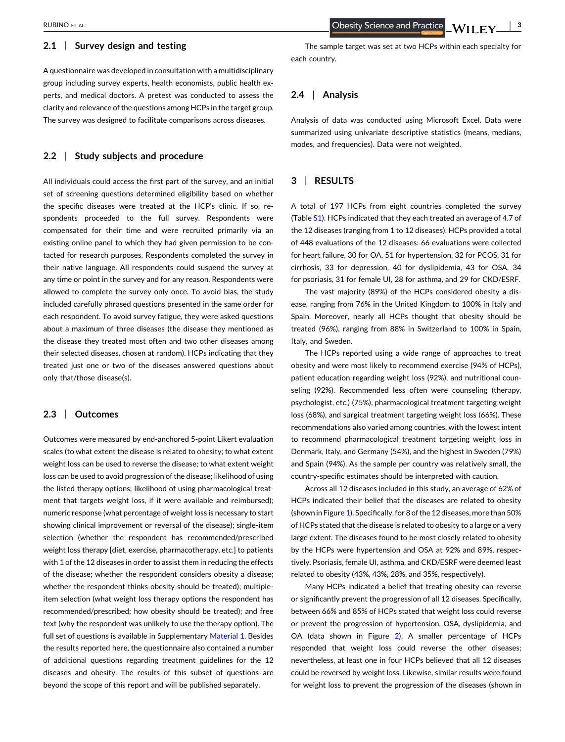# **2.1** <sup>|</sup> **Survey design and testing**

A questionnaire was developed in consultation with a multidisciplinary group including survey experts, health economists, public health experts, and medical doctors. A pretest was conducted to assess the clarity and relevance of the questions among HCPs in the target group. The survey was designed to facilitate comparisons across diseases.

# **2.2** <sup>|</sup> **Study subjects and procedure**

All individuals could access the first part of the survey, and an initial set of screening questions determined eligibility based on whether the specific diseases were treated at the HCP's clinic. If so, respondents proceeded to the full survey. Respondents were compensated for their time and were recruited primarily via an existing online panel to which they had given permission to be contacted for research purposes. Respondents completed the survey in their native language. All respondents could suspend the survey at any time or point in the survey and for any reason. Respondents were allowed to complete the survey only once. To avoid bias, the study included carefully phrased questions presented in the same order for each respondent. To avoid survey fatigue, they were asked questions about a maximum of three diseases (the disease they mentioned as the disease they treated most often and two other diseases among their selected diseases, chosen at random). HCPs indicating that they treated just one or two of the diseases answered questions about only that/those disease(s).

## **2.3** <sup>|</sup> **Outcomes**

Outcomes were measured by end‐anchored 5‐point Likert evaluation scales (to what extent the disease is related to obesity; to what extent weight loss can be used to reverse the disease; to what extent weight loss can be used to avoid progression of the disease; likelihood of using the listed therapy options; likelihood of using pharmacological treatment that targets weight loss, if it were available and reimbursed); numeric response (what percentage of weight loss is necessary to start showing clinical improvement or reversal of the disease); single‐item selection (whether the respondent has recommended/prescribed weight loss therapy [diet, exercise, pharmacotherapy, etc.] to patients with 1 of the 12 diseases in order to assist them in reducing the effects of the disease; whether the respondent considers obesity a disease; whether the respondent thinks obesity should be treated); multiple‐ item selection (what weight loss therapy options the respondent has recommended/prescribed; how obesity should be treated); and free text (why the respondent was unlikely to use the therapy option). The full set of questions is available in Supplementary Material 1. Besides the results reported here, the questionnaire also contained a number of additional questions regarding treatment guidelines for the 12 diseases and obesity. The results of this subset of questions are beyond the scope of this report and will be published separately.

**Obesity Science and Practice**  $WILEY \perp$ <sup>3</sup>

The sample target was set at two HCPs within each specialty for each country.

# **2.4** <sup>|</sup> **Analysis**

Analysis of data was conducted using Microsoft Excel. Data were summarized using univariate descriptive statistics (means, medians, modes, and frequencies). Data were not weighted.

# **3** <sup>|</sup> **RESULTS**

A total of 197 HCPs from eight countries completed the survey (Table S1). HCPs indicated that they each treated an average of 4.7 of the 12 diseases (ranging from 1 to 12 diseases). HCPs provided a total of 448 evaluations of the 12 diseases: 66 evaluations were collected for heart failure, 30 for OA, 51 for hypertension, 32 for PCOS, 31 for cirrhosis, 33 for depression, 40 for dyslipidemia, 43 for OSA, 34 for psoriasis, 31 for female UI, 28 for asthma, and 29 for CKD/ESRF.

The vast majority (89%) of the HCPs considered obesity a disease, ranging from 76% in the United Kingdom to 100% in Italy and Spain. Moreover, nearly all HCPs thought that obesity should be treated (96%), ranging from 88% in Switzerland to 100% in Spain, Italy, and Sweden.

The HCPs reported using a wide range of approaches to treat obesity and were most likely to recommend exercise (94% of HCPs), patient education regarding weight loss (92%), and nutritional counseling (92%). Recommended less often were counseling (therapy, psychologist, etc.) (75%), pharmacological treatment targeting weight loss (68%), and surgical treatment targeting weight loss (66%). These recommendations also varied among countries, with the lowest intent to recommend pharmacological treatment targeting weight loss in Denmark, Italy, and Germany (54%), and the highest in Sweden (79%) and Spain (94%). As the sample per country was relatively small, the country‐specific estimates should be interpreted with caution.

Across all 12 diseases included in this study, an average of 62% of HCPs indicated their belief that the diseases are related to obesity (shown in Figure [1](#page-3-0)). Specifically, for 8 of the 12 diseases, more than 50% of HCPs stated that the disease is related to obesity to a large or a very large extent. The diseases found to be most closely related to obesity by the HCPs were hypertension and OSA at 92% and 89%, respectively. Psoriasis, female UI, asthma, and CKD/ESRF were deemed least related to obesity (43%, 43%, 28%, and 35%, respectively).

Many HCPs indicated a belief that treating obesity can reverse or significantly prevent the progression of all 12 diseases. Specifically, between 66% and 85% of HCPs stated that weight loss could reverse or prevent the progression of hypertension, OSA, dyslipidemia, and OA (data shown in Figure [2\)](#page-3-0). A smaller percentage of HCPs responded that weight loss could reverse the other diseases; nevertheless, at least one in four HCPs believed that all 12 diseases could be reversed by weight loss. Likewise, similar results were found for weight loss to prevent the progression of the diseases (shown in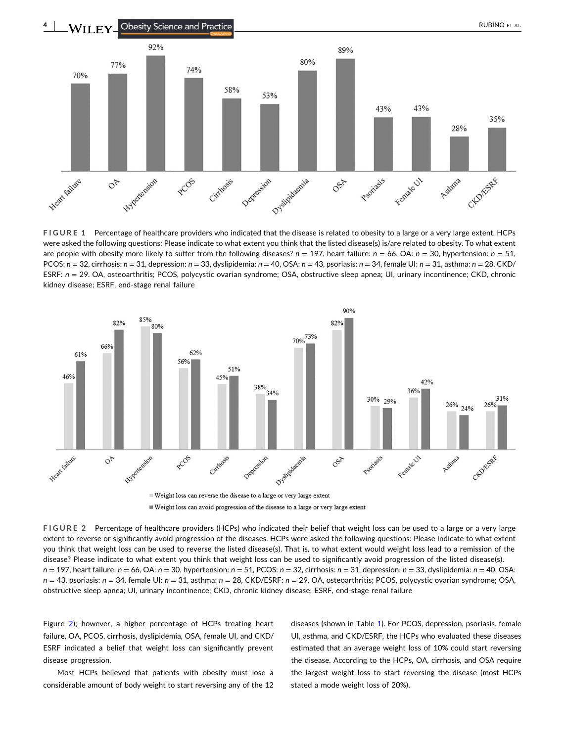<span id="page-3-0"></span>

**FIGURE 1** Percentage of healthcare providers who indicated that the disease is related to obesity to a large or a very large extent. HCPs were asked the following questions: Please indicate to what extent you think that the listed disease(s) is/are related to obesity. To what extent are people with obesity more likely to suffer from the following diseases? *n* = 197, heart failure: *n* = 66, OA: *n* = 30, hypertension: *n* = 51, PCOS: *n* = 32, cirrhosis: *n* = 31, depression: *n* = 33, dyslipidemia: *n* = 40, OSA: *n* = 43, psoriasis: *n* = 34, female UI: *n* = 31, asthma: *n* = 28, CKD/ ESRF: *n* = 29. OA, osteoarthritis; PCOS, polycystic ovarian syndrome; OSA, obstructive sleep apnea; UI, urinary incontinence; CKD, chronic kidney disease; ESRF, end‐stage renal failure



Weight loss can avoid progression of the disease to a large or very large extent

**FIGURE 2** Percentage of healthcare providers (HCPs) who indicated their belief that weight loss can be used to a large or a very large extent to reverse or significantly avoid progression of the diseases. HCPs were asked the following questions: Please indicate to what extent you think that weight loss can be used to reverse the listed disease(s). That is, to what extent would weight loss lead to a remission of the disease? Please indicate to what extent you think that weight loss can be used to significantly avoid progression of the listed disease(s). *n* = 197, heart failure: *n* = 66, OA: *n* = 30, hypertension: *n* = 51, PCOS: *n* = 32, cirrhosis: *n* = 31, depression: *n* = 33, dyslipidemia: *n* = 40, OSA: *n* = 43, psoriasis: *n* = 34, female UI: *n* = 31, asthma: *n* = 28, CKD/ESRF: *n* = 29. OA, osteoarthritis; PCOS, polycystic ovarian syndrome; OSA, obstructive sleep apnea; UI, urinary incontinence; CKD, chronic kidney disease; ESRF, end‐stage renal failure

Figure 2); however, a higher percentage of HCPs treating heart failure, OA, PCOS, cirrhosis, dyslipidemia, OSA, female UI, and CKD/ ESRF indicated a belief that weight loss can significantly prevent disease progression.

Most HCPs believed that patients with obesity must lose a considerable amount of body weight to start reversing any of the 12 diseases (shown in Table [1](#page-4-0)). For PCOS, depression, psoriasis, female UI, asthma, and CKD/ESRF, the HCPs who evaluated these diseases estimated that an average weight loss of 10% could start reversing the disease. According to the HCPs, OA, cirrhosis, and OSA require the largest weight loss to start reversing the disease (most HCPs stated a mode weight loss of 20%).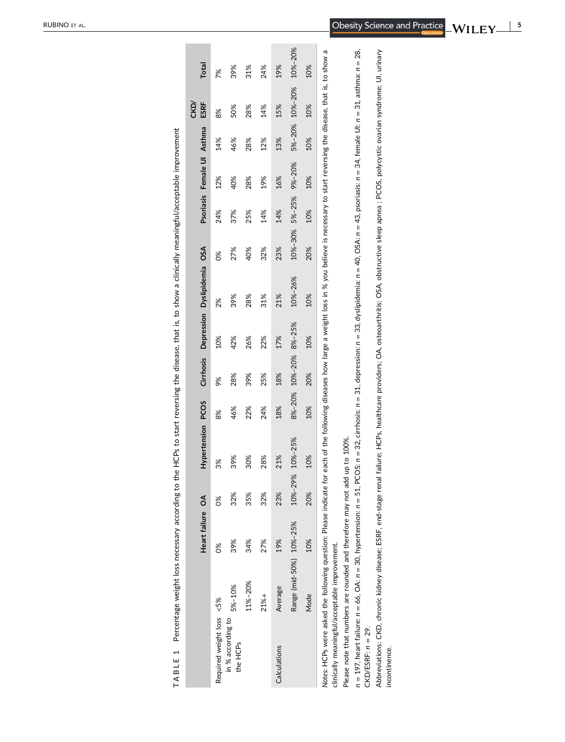<span id="page-4-0"></span>

|                                                                                                                                                                                                                                                             |                         | Heart failure OA |         | Hypertension | <b>PCOS</b> | Cirrhosis |        | Depression Dyslipidemia | OSA     |        | Psoriasis Female UI Asthma |        | CKD/<br>ESRF | Total   |
|-------------------------------------------------------------------------------------------------------------------------------------------------------------------------------------------------------------------------------------------------------------|-------------------------|------------------|---------|--------------|-------------|-----------|--------|-------------------------|---------|--------|----------------------------|--------|--------------|---------|
| Required weight loss <5%                                                                                                                                                                                                                                    |                         | $\frac{8}{3}$    | 88      | 3%           | 8%          | 9%        | 10%    | 2%                      | ೫೦      | 24%    | 12%                        | 14%    | 8%           | 7%      |
| in % according to<br>the HCPs                                                                                                                                                                                                                               | 5%-10%                  | 39%              | 32%     | 39%          | 46%         | 28%       | 42%    | 39%                     | 27%     | 37%    | 40%                        | 46%    | 50%          | 39%     |
|                                                                                                                                                                                                                                                             | 11%-20%                 | 34%              | 35%     | 30%          | 22%         | 39%       | 26%    | 28%                     | 40%     | 25%    | 28%                        | 28%    | 28%          | 31%     |
|                                                                                                                                                                                                                                                             | 21%+                    | 27%              | 32%     | 28%          | 24%         | 25%       | 22%    | 31%                     | 32%     | 14%    | 19%                        | 12%    | 14%          | 24%     |
| Calculations                                                                                                                                                                                                                                                | Average                 | 19%              | 23%     | 21%          | 18%         | 18%       | 17%    | 21%                     | 23%     | 14%    | 16%                        | 13%    | 15%          | 19%     |
|                                                                                                                                                                                                                                                             | Range (mid-50%) 10%-25% |                  | 10%-29% | 10%-25%      | 8%-20%      | 10%-20%   | 8%-25% | 10%-26%                 | 10%-30% | 5%-25% | 9%-20%                     | 5%-20% | 10%-20%      | 10%-20% |
|                                                                                                                                                                                                                                                             | Mode                    | 10%              | 20%     | 10%          | 10%         | 20%       | 10%    | 10%                     | 20%     | 10%    | 10%                        | 10%    | 10%          | 10%     |
| Notes: HCPs were asked the following question: Please indicate for each of the following diseases how large a weight loss in % you believe is necessary to start reversing the disease, that is, to show a<br>clinically meaningful/acceptable improvement. |                         |                  |         |              |             |           |        |                         |         |        |                            |        |              |         |
| Please note that numbers are rounded and therefore may not add up to 100%                                                                                                                                                                                   |                         |                  |         |              |             |           |        |                         |         |        |                            |        |              |         |
| n = 197, heart failure: n = 66, OA: n = 30, hypertension: n = 51, PCOS: n = 32, cirrhosis: n = 31, depression: n = 33, dyslipidemia: n = 40, OSA: n = 43, psoriasis: n = 24, female UI: n = 31, asthma: n = 28,                                             |                         |                  |         |              |             |           |        |                         |         |        |                            |        |              |         |

Percentage weight loss necessary according to the HCPs to start reversing the disease, that is, to show a clinically meaningful/acceptable improvement **TABLE 1** Percentage weight loss necessary according to the HCPs to start reversing the disease, that is, to show a clinically meaningful/acceptable improvement TABLE 1

n = 197, heart failure: n = 66, OA: n = 30, hypertension: n = 51, PCOS: n = 32, cirrhosis: n = 31, depression: n = 33, dyslipidemia: n = 40, OSA: n = 43, psoriasis: n = 34, female UI: n = 31, asthma: n = 28  $CKD/ESRF: n = 29.$ CKD/ESRF: *n* = 29. *n*

Abbreviations: CKD, chronic kidney disease; ESRF, end-stage renal failure; HCPs, healthcare providers; OA, osteoarthritis; OSA, obstructive sleep apnea ; PCOS, polycystic ovarian syndrome; UI, urinary<br>incontinence. Abbreviations: CKD, chronic kidney disease; ESRF, end‐stage renal failure; HCPs, healthcare providers; OA, osteoarthritis; OSA, obstructive sleep apnea ; PCOS, polycystic ovarian syndrome; UI, urinary incontinence.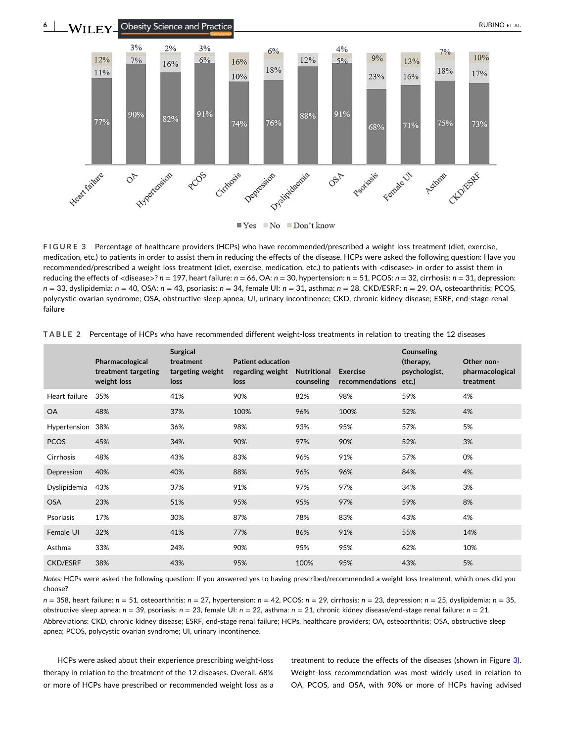<span id="page-5-0"></span>

**FIGURE 3** Percentage of healthcare providers (HCPs) who have recommended/prescribed a weight loss treatment (diet, exercise, medication, etc.) to patients in order to assist them in reducing the effects of the disease. HCPs were asked the following question: Have you recommended/prescribed a weight loss treatment (diet, exercise, medication, etc.) to patients with <disease> in order to assist them in reducing the effects of <disease>? *n* = 197, heart failure: *n* = 66, OA: *n* = 30, hypertension: *n* = 51, PCOS: *n* = 32, cirrhosis: *n* = 31, depression: *n* = 33, dyslipidemia: *n* = 40, OSA: *n* = 43, psoriasis: *n* = 34, female UI: *n* = 31, asthma: *n* = 28, CKD/ESRF: *n* = 29. OA, osteoarthritis; PCOS, polycystic ovarian syndrome; OSA, obstructive sleep apnea; UI, urinary incontinence; CKD, chronic kidney disease; ESRF, end‐stage renal failure

|                 | Pharmacological<br>treatment targeting<br>weight loss | <b>Surgical</b><br>treatment<br>targeting weight<br>loss | <b>Patient education</b><br>regarding weight<br>loss | <b>Nutritional</b><br>counseling | <b>Exercise</b><br>recommendations | Counseling<br>(therapy,<br>psychologist,<br>etc.) | Other non-<br>pharmacological<br>treatment |
|-----------------|-------------------------------------------------------|----------------------------------------------------------|------------------------------------------------------|----------------------------------|------------------------------------|---------------------------------------------------|--------------------------------------------|
| Heart failure   | 35%                                                   | 41%                                                      | 90%                                                  | 82%                              | 98%                                | 59%                                               | 4%                                         |
| <b>OA</b>       | 48%                                                   | 37%                                                      | 100%                                                 | 96%                              | 100%                               | 52%                                               | 4%                                         |
| Hypertension    | 38%                                                   | 36%                                                      | 98%                                                  | 93%                              | 95%                                | 57%                                               | 5%                                         |
| <b>PCOS</b>     | 45%                                                   | 34%                                                      | 90%                                                  | 97%                              | 90%                                | 52%                                               | 3%                                         |
| Cirrhosis       | 48%                                                   | 43%                                                      | 83%                                                  | 96%                              | 91%                                | 57%                                               | 0%                                         |
| Depression      | 40%                                                   | 40%                                                      | 88%                                                  | 96%                              | 96%                                | 84%                                               | 4%                                         |
| Dyslipidemia    | 43%                                                   | 37%                                                      | 91%                                                  | 97%                              | 97%                                | 34%                                               | 3%                                         |
| <b>OSA</b>      | 23%                                                   | 51%                                                      | 95%                                                  | 95%                              | 97%                                | 59%                                               | 8%                                         |
| Psoriasis       | 17%                                                   | 30%                                                      | 87%                                                  | 78%                              | 83%                                | 43%                                               | 4%                                         |
| Female UI       | 32%                                                   | 41%                                                      | 77%                                                  | 86%                              | 91%                                | 55%                                               | 14%                                        |
| Asthma          | 33%                                                   | 24%                                                      | 90%                                                  | 95%                              | 95%                                | 62%                                               | 10%                                        |
| <b>CKD/ESRF</b> | 38%                                                   | 43%                                                      | 95%                                                  | 100%                             | 95%                                | 43%                                               | 5%                                         |

**TABLE 2** Percentage of HCPs who have recommended different weight‐loss treatments in relation to treating the 12 diseases

*Notes:* HCPs were asked the following question: If you answered yes to having prescribed/recommended a weight loss treatment, which ones did you choose?

*n* = 358, heart failure: *n* = 51, osteoarthritis: *n* = 27, hypertension: *n* = 42, PCOS: *n* = 29, cirrhosis: *n* = 23, depression: *n* = 25, dyslipidemia: *n* = 35, obstructive sleep apnea: *n* = 39, psoriasis: *n* = 23, female UI: *n* = 22, asthma: *n* = 21, chronic kidney disease/end‐stage renal failure: *n* = 21. Abbreviations: CKD, chronic kidney disease; ESRF, end‐stage renal failure; HCPs, healthcare providers; OA, osteoarthritis; OSA, obstructive sleep apnea; PCOS, polycystic ovarian syndrome; UI, urinary incontinence.

HCPs were asked about their experience prescribing weight‐loss therapy in relation to the treatment of the 12 diseases. Overall, 68% or more of HCPs have prescribed or recommended weight loss as a

treatment to reduce the effects of the diseases (shown in Figure 3). Weight-loss recommendation was most widely used in relation to OA, PCOS, and OSA, with 90% or more of HCPs having advised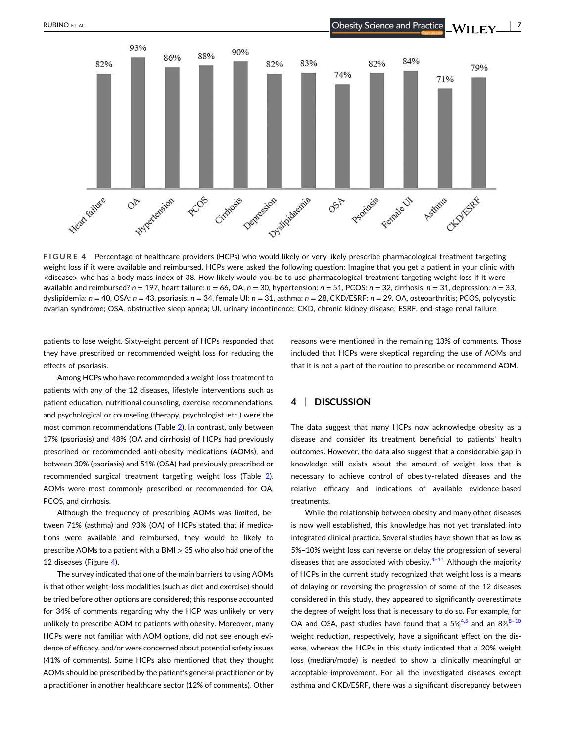

**FIGURE 4** Percentage of healthcare providers (HCPs) who would likely or very likely prescribe pharmacological treatment targeting weight loss if it were available and reimbursed. HCPs were asked the following question: Imagine that you get a patient in your clinic with <disease> who has a body mass index of 38. How likely would you be to use pharmacological treatment targeting weight loss if it were available and reimbursed? *n* = 197, heart failure: *n* = 66, OA: *n* = 30, hypertension: *n* = 51, PCOS: *n* = 32, cirrhosis: *n* = 31, depression: *n* = 33, dyslipidemia: *n* = 40, OSA: *n* = 43, psoriasis: *n* = 34, female UI: *n* = 31, asthma: *n* = 28, CKD/ESRF: *n* = 29. OA, osteoarthritis; PCOS, polycystic ovarian syndrome; OSA, obstructive sleep apnea; UI, urinary incontinence; CKD, chronic kidney disease; ESRF, end‐stage renal failure

patients to lose weight. Sixty-eight percent of HCPs responded that they have prescribed or recommended weight loss for reducing the effects of psoriasis.

Among HCPs who have recommended a weight‐loss treatment to patients with any of the 12 diseases, lifestyle interventions such as patient education, nutritional counseling, exercise recommendations, and psychological or counseling (therapy, psychologist, etc.) were the most common recommendations (Table [2\)](#page-5-0). In contrast, only between 17% (psoriasis) and 48% (OA and cirrhosis) of HCPs had previously prescribed or recommended anti‐obesity medications (AOMs), and between 30% (psoriasis) and 51% (OSA) had previously prescribed or recommended surgical treatment targeting weight loss (Table [2](#page-5-0)). AOMs were most commonly prescribed or recommended for OA, PCOS, and cirrhosis.

Although the frequency of prescribing AOMs was limited, between 71% (asthma) and 93% (OA) of HCPs stated that if medications were available and reimbursed, they would be likely to prescribe AOMs to a patient with a BMI > 35 who also had one of the 12 diseases (Figure 4).

The survey indicated that one of the main barriers to using AOMs is that other weight-loss modalities (such as diet and exercise) should be tried before other options are considered; this response accounted for 34% of comments regarding why the HCP was unlikely or very unlikely to prescribe AOM to patients with obesity. Moreover, many HCPs were not familiar with AOM options, did not see enough evidence of efficacy, and/or were concerned about potential safety issues (41% of comments). Some HCPs also mentioned that they thought AOMs should be prescribed by the patient's general practitioner or by a practitioner in another healthcare sector (12% of comments). Other

reasons were mentioned in the remaining 13% of comments. Those included that HCPs were skeptical regarding the use of AOMs and that it is not a part of the routine to prescribe or recommend AOM.

## **4** <sup>|</sup> **DISCUSSION**

The data suggest that many HCPs now acknowledge obesity as a disease and consider its treatment beneficial to patients' health outcomes. However, the data also suggest that a considerable gap in knowledge still exists about the amount of weight loss that is necessary to achieve control of obesity-related diseases and the relative efficacy and indications of available evidence‐based treatments.

While the relationship between obesity and many other diseases is now well established, this knowledge has not yet translated into integrated clinical practice. Several studies have shown that as low as 5%–10% weight loss can reverse or delay the progression of several diseases that are associated with obesity. $4-11$  Although the majority of HCPs in the current study recognized that weight loss is a means of delaying or reversing the progression of some of the 12 diseases considered in this study, they appeared to significantly overestimate the degree of weight loss that is necessary to do so. For example, for OA and OSA, past studies have found that a  $5\%^{4,5}$  and an  $8\%^{8-10}$ weight reduction, respectively, have a significant effect on the disease, whereas the HCPs in this study indicated that a 20% weight loss (median/mode) is needed to show a clinically meaningful or acceptable improvement. For all the investigated diseases except asthma and CKD/ESRF, there was a significant discrepancy between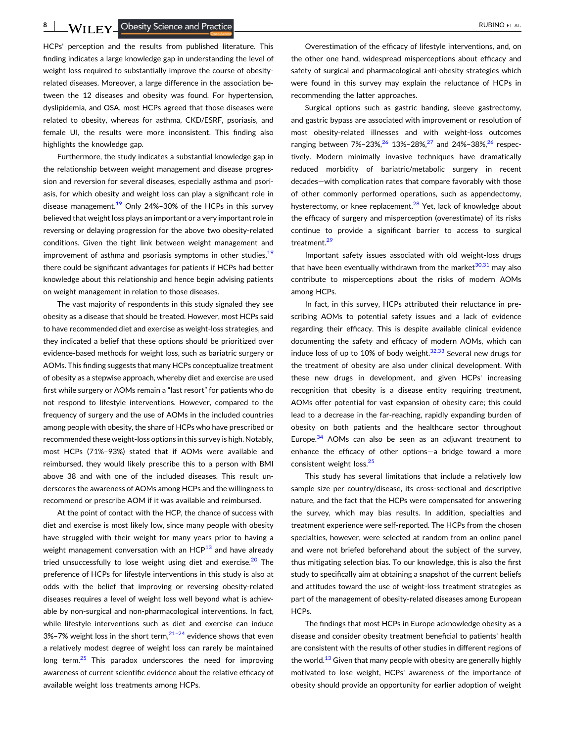**8** A FINITY **B** Obesity Science and Practice **A FINITY RESIDENT** ALL AND RUBINO ET AL.

HCPs' perception and the results from published literature. This finding indicates a large knowledge gap in understanding the level of weight loss required to substantially improve the course of obesity‐ related diseases. Moreover, a large difference in the association between the 12 diseases and obesity was found. For hypertension, dyslipidemia, and OSA, most HCPs agreed that those diseases were related to obesity, whereas for asthma, CKD/ESRF, psoriasis, and female UI, the results were more inconsistent. This finding also highlights the knowledge gap.

Furthermore, the study indicates a substantial knowledge gap in the relationship between weight management and disease progression and reversion for several diseases, especially asthma and psoriasis, for which obesity and weight loss can play a significant role in disease management.<sup>[19](#page-8-0)</sup> Only 24%-30% of the HCPs in this survey believed that weight loss plays an important or a very important role in reversing or delaying progression for the above two obesity‐related conditions. Given the tight link between weight management and improvement of asthma and psoriasis symptoms in other studies,  $19$ there could be significant advantages for patients if HCPs had better knowledge about this relationship and hence begin advising patients on weight management in relation to those diseases.

The vast majority of respondents in this study signaled they see obesity as a disease that should be treated. However, most HCPs said to have recommended diet and exercise as weight‐loss strategies, and they indicated a belief that these options should be prioritized over evidence‐based methods for weight loss, such as bariatric surgery or AOMs. This finding suggests that many HCPs conceptualize treatment of obesity as a stepwise approach, whereby diet and exercise are used first while surgery or AOMs remain a "last resort" for patients who do not respond to lifestyle interventions. However, compared to the frequency of surgery and the use of AOMs in the included countries among people with obesity, the share of HCPs who have prescribed or recommended these weight‐loss options in this survey is high. Notably, most HCPs (71%–93%) stated that if AOMs were available and reimbursed, they would likely prescribe this to a person with BMI above 38 and with one of the included diseases. This result underscores the awareness of AOMs among HCPs and the willingness to recommend or prescribe AOM if it was available and reimbursed.

At the point of contact with the HCP, the chance of success with diet and exercise is most likely low, since many people with obesity have struggled with their weight for many years prior to having a weight management conversation with an  $HCP^{13}$  $HCP^{13}$  $HCP^{13}$  and have already tried unsuccessfully to lose weight using diet and exercise. $20$  The preference of HCPs for lifestyle interventions in this study is also at odds with the belief that improving or reversing obesity‐related diseases requires a level of weight loss well beyond what is achievable by non‐surgical and non‐pharmacological interventions. In fact, while lifestyle interventions such as diet and exercise can induce 3%–7% weight loss in the short term, $21-24$  evidence shows that even a relatively modest degree of weight loss can rarely be maintained long term. $25$  This paradox underscores the need for improving awareness of current scientific evidence about the relative efficacy of available weight loss treatments among HCPs.

Overestimation of the efficacy of lifestyle interventions, and, on the other one hand, widespread misperceptions about efficacy and safety of surgical and pharmacological anti-obesity strategies which were found in this survey may explain the reluctance of HCPs in recommending the latter approaches.

Surgical options such as gastric banding, sleeve gastrectomy, and gastric bypass are associated with improvement or resolution of most obesity-related illnesses and with weight-loss outcomes ranging between  $7\% - 23\%$ ,  $26\% - 28\%$  $26\% - 28\%$ ,  $27\%$  and  $24\% - 38\%$ ,  $26\%$  respectively. Modern minimally invasive techniques have dramatically reduced morbidity of bariatric/metabolic surgery in recent decades—with complication rates that compare favorably with those of other commonly performed operations, such as appendectomy, hysterectomy, or knee replacement.<sup>28</sup> Yet, lack of knowledge about the efficacy of surgery and misperception (overestimate) of its risks continue to provide a significant barrier to access to surgical treatment.<sup>29</sup>

Important safety issues associated with old weight‐loss drugs that have been eventually withdrawn from the market $30,31$  may also contribute to misperceptions about the risks of modern AOMs among HCPs.

In fact, in this survey, HCPs attributed their reluctance in prescribing AOMs to potential safety issues and a lack of evidence regarding their efficacy. This is despite available clinical evidence documenting the safety and efficacy of modern AOMs, which can induce loss of up to 10% of body weight. $32,33$  Several new drugs for the treatment of obesity are also under clinical development. With these new drugs in development, and given HCPs' increasing recognition that obesity is a disease entity requiring treatment, AOMs offer potential for vast expansion of obesity care; this could lead to a decrease in the far-reaching, rapidly expanding burden of obesity on both patients and the healthcare sector throughout Europe. $34$  AOMs can also be seen as an adjuvant treatment to enhance the efficacy of other options—a bridge toward a more consistent weight loss.<sup>[25](#page-9-0)</sup>

This study has several limitations that include a relatively low sample size per country/disease, its cross-sectional and descriptive nature, and the fact that the HCPs were compensated for answering the survey, which may bias results. In addition, specialties and treatment experience were self‐reported. The HCPs from the chosen specialties, however, were selected at random from an online panel and were not briefed beforehand about the subject of the survey, thus mitigating selection bias. To our knowledge, this is also the first study to specifically aim at obtaining a snapshot of the current beliefs and attitudes toward the use of weight‐loss treatment strategies as part of the management of obesity-related diseases among European HCPs.

The findings that most HCPs in Europe acknowledge obesity as a disease and consider obesity treatment beneficial to patients' health are consistent with the results of other studies in different regions of the world.<sup>[13](#page-8-0)</sup> Given that many people with obesity are generally highly motivated to lose weight, HCPs' awareness of the importance of obesity should provide an opportunity for earlier adoption of weight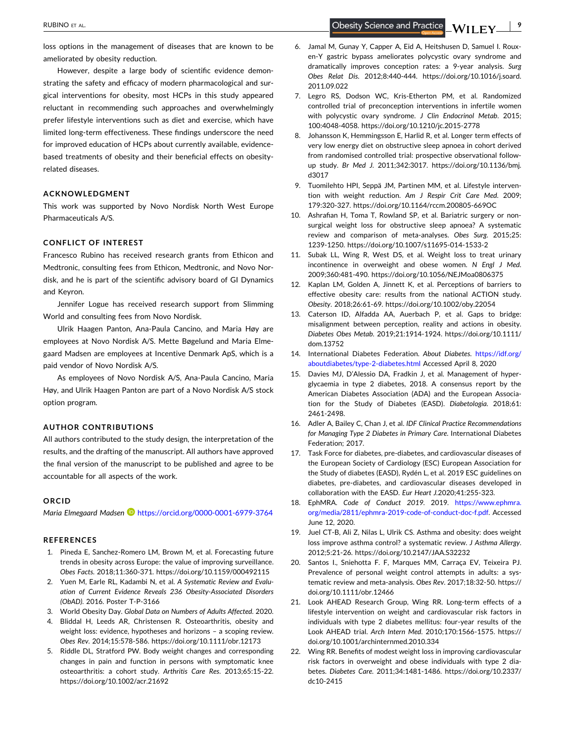**Obesity Science and Practice** 

<span id="page-8-0"></span>loss options in the management of diseases that are known to be ameliorated by obesity reduction.

However, despite a large body of scientific evidence demonstrating the safety and efficacy of modern pharmacological and surgical interventions for obesity, most HCPs in this study appeared reluctant in recommending such approaches and overwhelmingly prefer lifestyle interventions such as diet and exercise, which have limited long‐term effectiveness. These findings underscore the need for improved education of HCPs about currently available, evidence‐ based treatments of obesity and their beneficial effects on obesity‐ related diseases.

## **ACKNOWLEDGMENT**

This work was supported by Novo Nordisk North West Europe Pharmaceuticals A/S.

## **CONFLICT OF INTEREST**

Francesco Rubino has received research grants from Ethicon and Medtronic, consulting fees from Ethicon, Medtronic, and Novo Nordisk, and he is part of the scientific advisory board of GI Dynamics and Keyron.

Jennifer Logue has received research support from Slimming World and consulting fees from Novo Nordisk.

Ulrik Haagen Panton, Ana‐Paula Cancino, and Maria Høy are employees at Novo Nordisk A/S. Mette Bøgelund and Maria Elmegaard Madsen are employees at Incentive Denmark ApS, which is a paid vendor of Novo Nordisk A/S.

As employees of Novo Nordisk A/S, Ana‐Paula Cancino, Maria Høy, and Ulrik Haagen Panton are part of a Novo Nordisk A/S stock option program.

## **AUTHOR CONTRIBUTIONS**

All authors contributed to the study design, the interpretation of the results, and the drafting of the manuscript. All authors have approved the final version of the manuscript to be published and agree to be accountable for all aspects of the work.

#### **ORCID**

*Maria Elmegaard Madsen* <https://orcid.org/0000-0001-6979-3764>

#### **REFERENCES**

- 1. Pineda E, Sanchez‐Romero LM, Brown M, et al. Forecasting future trends in obesity across Europe: the value of improving surveillance. *Obes Facts*. 2018;11:360‐371. <https://doi.org/10.1159/000492115>
- 2. Yuen M, Earle RL, Kadambi N, et al. *A Systematic Review and Evaluation of Current Evidence Reveals 236 Obesity‐Associated Disorders (ObAD)*. 2016. Poster T‐P‐3166
- 3. World Obesity Day. *Global Data on Numbers of Adults Affected*. 2020.
- 4. Bliddal H, Leeds AR, Christensen R. Osteoarthritis, obesity and weight loss: evidence, hypotheses and horizons – a scoping review. *Obes Rev*. 2014;15:578‐586. <https://doi.org/10.1111/obr.12173>
- 5. Riddle DL, Stratford PW. Body weight changes and corresponding changes in pain and function in persons with symptomatic knee osteoarthritis: a cohort study. *Arthritis Care Res*. 2013;65:15‐22. <https://doi.org/10.1002/acr.21692>
- 6. Jamal M, Gunay Y, Capper A, Eid A, Heitshusen D, Samuel I. Roux‐ en‐Y gastric bypass ameliorates polycystic ovary syndrome and dramatically improves conception rates: a 9‐year analysis. *Surg Obes Relat Dis*. 2012;8:440‐444. [https://doi.org/10.1016/j.soard.](https://doi.org/10.1016/j.soard.2011.09.022) [2011.09.022](https://doi.org/10.1016/j.soard.2011.09.022)
- 7. Legro RS, Dodson WC, Kris‐Etherton PM, et al. Randomized controlled trial of preconception interventions in infertile women with polycystic ovary syndrome. *J Clin Endocrinol Metab*. 2015; 100:4048‐4058. [https://doi.org/10.1210/jc.2015](https://doi.org/10.1210/jc.2015-2778)‐2778
- 8. Johansson K, Hemmingsson E, Harlid R, et al. Longer term effects of very low energy diet on obstructive sleep apnoea in cohort derived from randomised controlled trial: prospective observational followup study. *Br Med J*. 2011;342:3017. [https://doi.org/10.1136/bmj.](https://doi.org/10.1136/bmj.d3017) [d3017](https://doi.org/10.1136/bmj.d3017)
- 9. Tuomilehto HPI, Seppä JM, Partinen MM, et al. Lifestyle intervention with weight reduction. *Am J Respir Crit Care Med*. 2009; 179:320‐327. [https://doi.org/10.1164/rccm.200805](https://doi.org/10.1164/rccm.200805-669OC)‐669OC
- 10. Ashrafian H, Toma T, Rowland SP, et al. Bariatric surgery or non‐ surgical weight loss for obstructive sleep apnoea? A systematic review and comparison of meta‐analyses. *Obes Surg*. 2015;25: 1239‐1250. [https://doi.org/10.1007/s11695](https://doi.org/10.1007/s11695-014-1533-2)‐014‐1533‐2
- 11. Subak LL, Wing R, West DS, et al. Weight loss to treat urinary incontinence in overweight and obese women. *N Engl J Med*. 2009;360:481‐490. <https://doi.org/10.1056/NEJMoa0806375>
- 12. Kaplan LM, Golden A, Jinnett K, et al. Perceptions of barriers to effective obesity care: results from the national ACTION study. *Obesity*. 2018;26:61‐69. <https://doi.org/10.1002/oby.22054>
- 13. Caterson ID, Alfadda AA, Auerbach P, et al. Gaps to bridge: misalignment between perception, reality and actions in obesity. *Diabetes Obes Metab*. 2019;21:1914‐1924. [https://doi.org/10.1111/](https://doi.org/10.1111/dom.13752) [dom.13752](https://doi.org/10.1111/dom.13752)
- 14. International Diabetes Federation. *About Diabetes*. [https://idf.org/](https://idf.org/aboutdiabetes/type-2-diabetes.html) [aboutdiabetes/type](https://idf.org/aboutdiabetes/type-2-diabetes.html)‐2‐diabetes.html Accessed April 8, 2020
- 15. Davies MJ, D'Alessio DA, Fradkin J, et al. Management of hyperglycaemia in type 2 diabetes, 2018. A consensus report by the American Diabetes Association (ADA) and the European Association for the Study of Diabetes (EASD). *Diabetologia*. 2018;61: 2461‐2498.
- 16. Adler A, Bailey C, Chan J, et al. *IDF Clinical Practice Recommendations for Managing Type 2 Diabetes in Primary Care*. International Diabetes Federation; 2017.
- 17. Task Force for diabetes, pre-diabetes, and cardiovascular diseases of the European Society of Cardiology (ESC) European Association for the Study of diabetes (EASD), Rydén L, et al. 2019 ESC guidelines on diabetes, pre‐diabetes, and cardiovascular diseases developed in collaboration with the EASD. *Eur Heart J.*2020;41:255‐323.
- 18. EphMRA. *Code of Conduct 2019*. 2019. [https://www.ephmra.](https://www.ephmra.org/media/2811/ephmra-2019-code-of-conduct-doc-f.pdf) [org/media/2811/ephmra](https://www.ephmra.org/media/2811/ephmra-2019-code-of-conduct-doc-f.pdf)‐2019‐code‐of‐conduct‐doc‐f.pdf. Accessed June 12, 2020.
- 19. Juel CT‐B, Ali Z, Nilas L, Ulrik CS. Asthma and obesity: does weight loss improve asthma control? a systematic review. *J Asthma Allergy*. 2012;5:21‐26. <https://doi.org/10.2147/JAA.S32232>
- 20. Santos I., Sniehotta F. F, Marques MM, Carraça EV, Teixeira PJ. Prevalence of personal weight control attempts in adults: a systematic review and meta‐analysis. *Obes Rev*. 2017;18:32‐50. [https://](https://doi.org/10.1111/obr.12466) [doi.org/10.1111/obr.12466](https://doi.org/10.1111/obr.12466)
- 21. Look AHEAD Research Group, Wing RR. Long-term effects of a lifestyle intervention on weight and cardiovascular risk factors in individuals with type 2 diabetes mellitus: four‐year results of the Look AHEAD trial. *Arch Intern Med*. 2010;170:1566‐1575. [https://](https://doi.org/10.1001/archinternmed.2010.334) [doi.org/10.1001/archinternmed.2010.334](https://doi.org/10.1001/archinternmed.2010.334)
- 22. Wing RR. Benefits of modest weight loss in improving cardiovascular risk factors in overweight and obese individuals with type 2 diabetes. *Diabetes Care*. 2011;34:1481‐1486. [https://doi.org/10.2337/](https://doi.org/10.2337/dc10-2415) dc10‐[2415](https://doi.org/10.2337/dc10-2415)

- **9**

 $N$ ll EY $-$